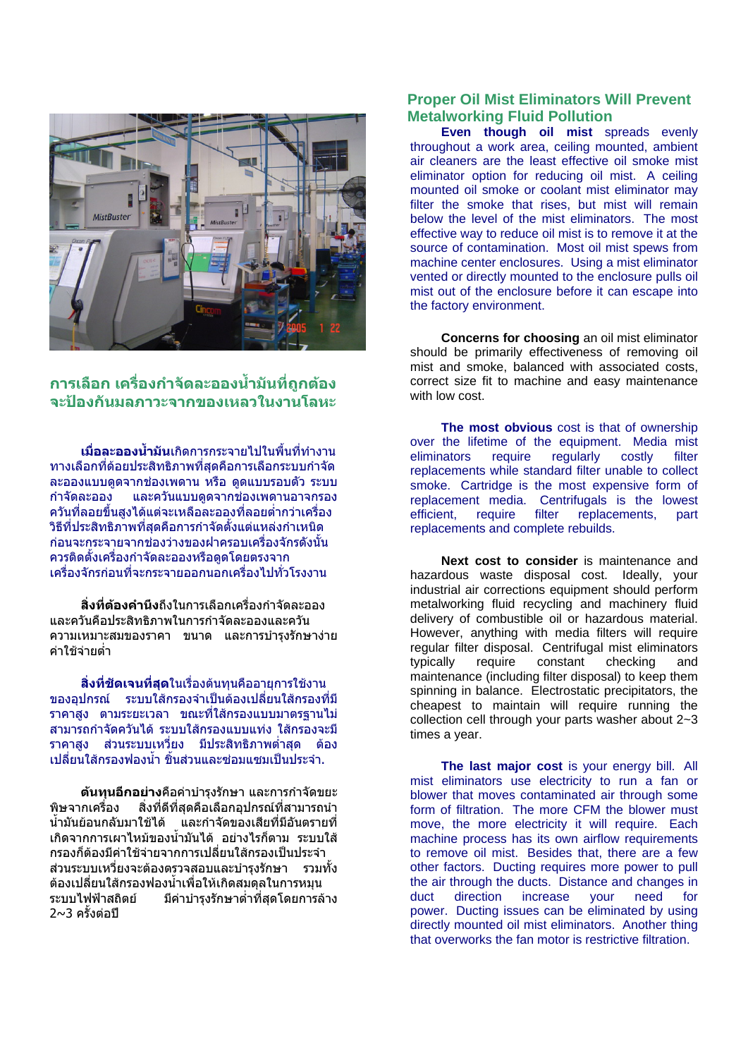

## **การเลือก เคร องกําจัดละอองน ามนทั ี่ถูกตอง ื่ ้ํ จะปองกันมลภาวะจากของเหลวในงานโลหะ**

**เมื่อละอองนาม้ํ ัน**เกิดการกระจายไปในพื้นที่ทํางาน ้ ทางเลือกที่ด้อยประสิทธิภาพที่สุดคือการเลือกระบบกำจัด ิละอองแบบดดจากช่องเพดาน หรือ ดดแบบรอบตัว ระบบ กําจัดละออง และควันแบบดูดจากชองเพดานอาจกรอง ้ ควันที่ลอยขึ้นสงได้แต่จะเหลือละอองที่ลอยต่ำกว่าเครื่อง ้ วิธีที่ประสิทธิภาพที่สุดคือการกำจัดตั้งแต่แหล่งกำเหนิด กอนจะกระจายจากชองวางของฝาครอบเครื่องจักรดังนั้น ควรติดตั้งเครื่องกำจัดละอองหรือดดโดยตรงจาก เครื่องจักรกอนที่จะกระจายออกนอกเครื่องไปทั่วโรงงาน

**สิ่งที่ตองคํานึง**ถึงในการเลือกเครื่องกําจัดละออง ี และควันคือประสิทธิภาพในการกำจัดละอองและควัน ความเหมาะสมของราคา ขนาด และการบํารุงรักษางาย ค่าใช้จ่ายต่ำ

ี**สิ่งที่ชัดเจนที่สุด**ในเรื่องต้นทนคืออายุการใช้งาน ึ ของอุปกรณ์ ระบบใส้กรองจำเป็นต้องเปลี่ยนใส้กรองที่มี ราคาสูง ตามระยะเวลา ขณะที่ใสกรองแบบมาตรฐานไม ี่สามาร<sup>ู</sup>ถกำจัดควันได้ ระบบใส้กรองแบบแท่ง ใส้กรองจะมี ราคาสูง ส่วนระบบเหวี่ยง มีประสิทธิภาพต่ำสด ต้อง เปลี่ยนใส้กรองฟองน้ำ ชิ้นส่วนและซ่อมแซมเป็นประจำ..

**ตนทุนอกอย ี าง**คือคาบํารุงรักษา และการกําจัดขยะ ี พิษจากเครื่อง สิ่งที่ดีที่สุดคือเลือกอปกรณ์ที่สามารถนำ ้น้ำมันย้อนกลับมาใช้ได้ และกำจัดของเสียที่มีอันตรายที่ เกิดจากการเผาไหม้ของน้ำมันได้ อย่างไรก็ตาม ระบบใส้ กรองก็ต้องมีค่าใช้จ่ายจากการเปลี่ยนใส้กรองเป็นประจำ ี่ส่วนระบบเหวี่ยงจะต้องตรวจสอบและบำรงรักษา รวมทั้ง ตองเปลี่ยนใสกรองฟองน้ําเพื่อใหเกิดสมดุลในการหมุน ระบบไฟฟ้าสถิตย์ มีค่าบำรงรักษาต่ำที่สุดโดยการล้าง  $2~1$ ครั้งต่อปี

## **Proper Oil Mist Eliminators Will Prevent Metalworking Fluid Pollution**

**Even though oil mist** spreads evenly throughout a work area, ceiling mounted, ambient air cleaners are the least effective oil smoke mist eliminator option for reducing oil mist. A ceiling mounted oil smoke or coolant mist eliminator may filter the smoke that rises, but mist will remain below the level of the mist eliminators. The most effective way to reduce oil mist is to remove it at the source of contamination. Most oil mist spews from machine center enclosures. Using a mist eliminator vented or directly mounted to the enclosure pulls oil mist out of the enclosure before it can escape into the factory environment.

**Concerns for choosing** an oil mist eliminator should be primarily effectiveness of removing oil mist and smoke, balanced with associated costs, correct size fit to machine and easy maintenance with low cost.

**The most obvious** cost is that of ownership over the lifetime of the equipment. Media mist eliminators require regularly costly filter replacements while standard filter unable to collect smoke. Cartridge is the most expensive form of replacement media. Centrifugals is the lowest efficient, require filter replacements, part replacements and complete rebuilds.

**Next cost to consider** is maintenance and hazardous waste disposal cost. Ideally, your industrial air corrections equipment should perform metalworking fluid recycling and machinery fluid delivery of combustible oil or hazardous material. However, anything with media filters will require regular filter disposal. Centrifugal mist eliminators typically require constant checking and maintenance (including filter disposal) to keep them spinning in balance. Electrostatic precipitators, the cheapest to maintain will require running the collection cell through your parts washer about 2~3 times a year.

The last major cost is your energy bill. All mist eliminators use electricity to run a fan or blower that moves contaminated air through some form of filtration. The more CFM the blower must move, the more electricity it will require. Each machine process has its own airflow requirements to remove oil mist. Besides that, there are a few other factors. Ducting requires more power to pull the air through the ducts. Distance and changes in duct direction increase your need for power. Ducting issues can be eliminated by using directly mounted oil mist eliminators. Another thing that overworks the fan motor is restrictive filtration.